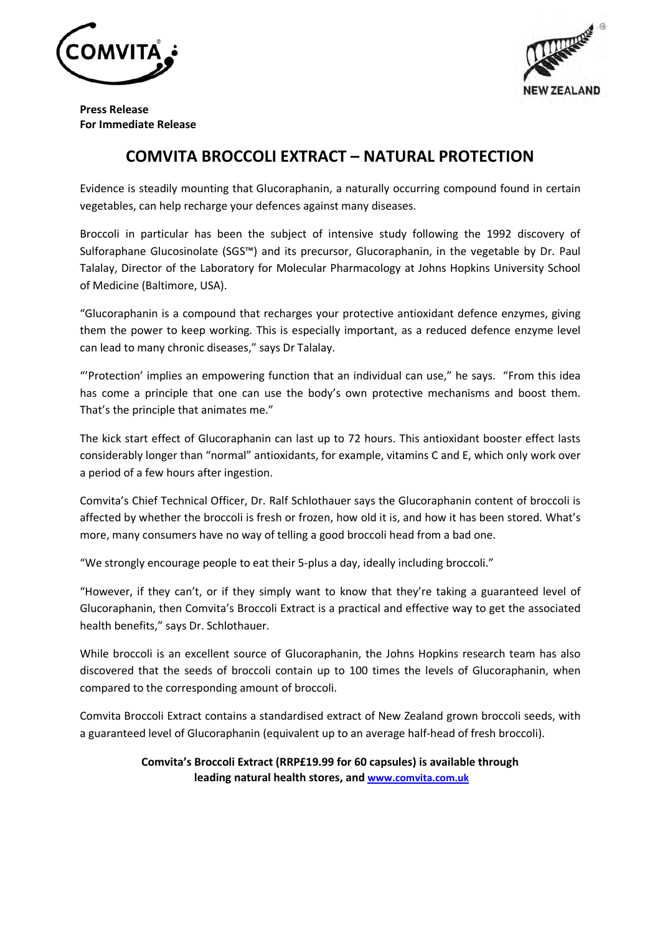



Press Release For Immediate Release

# COMVITA BROCCOLI EXTRACT – NATURAL PROTECTION

Evidence is steadily mounting that Glucoraphanin, a naturally occurring compound found in certain vegetables, can help recharge your defences against many diseases.

Broccoli in particular has been the subject of intensive study following the 1992 discovery of Sulforaphane Glucosinolate (SGS™) and its precursor, Glucoraphanin, in the vegetable by Dr. Paul Talalay, Director of the Laboratory for Molecular Pharmacology at Johns Hopkins University School of Medicine (Baltimore, USA).

"Glucoraphanin is a compound that recharges your protective antioxidant defence enzymes, giving them the power to keep working. This is especially important, as a reduced defence enzyme level can lead to many chronic diseases," says Dr Talalay.

"'Protection' implies an empowering function that an individual can use," he says. "From this idea has come a principle that one can use the body's own protective mechanisms and boost them. That's the principle that animates me."

The kick start effect of Glucoraphanin can last up to 72 hours. This antioxidant booster effect lasts considerably longer than "normal" antioxidants, for example, vitamins C and E, which only work over a period of a few hours after ingestion.

Comvita's Chief Technical Officer, Dr. Ralf Schlothauer says the Glucoraphanin content of broccoli is affected by whether the broccoli is fresh or frozen, how old it is, and how it has been stored. What's more, many consumers have no way of telling a good broccoli head from a bad one.

"We strongly encourage people to eat their 5-plus a day, ideally including broccoli."

"However, if they can't, or if they simply want to know that they're taking a guaranteed level of Glucoraphanin, then Comvita's Broccoli Extract is a practical and effective way to get the associated health benefits," says Dr. Schlothauer.

While broccoli is an excellent source of Glucoraphanin, the Johns Hopkins research team has also discovered that the seeds of broccoli contain up to 100 times the levels of Glucoraphanin, when compared to the corresponding amount of broccoli.

Comvita Broccoli Extract contains a standardised extract of New Zealand grown broccoli seeds, with a guaranteed level of Glucoraphanin (equivalent up to an average half-head of fresh broccoli).

## Comvita's Broccoli Extract (RRP£19.99 for 60 capsules) is available through leading natural health stores, and www.comvita.com.uk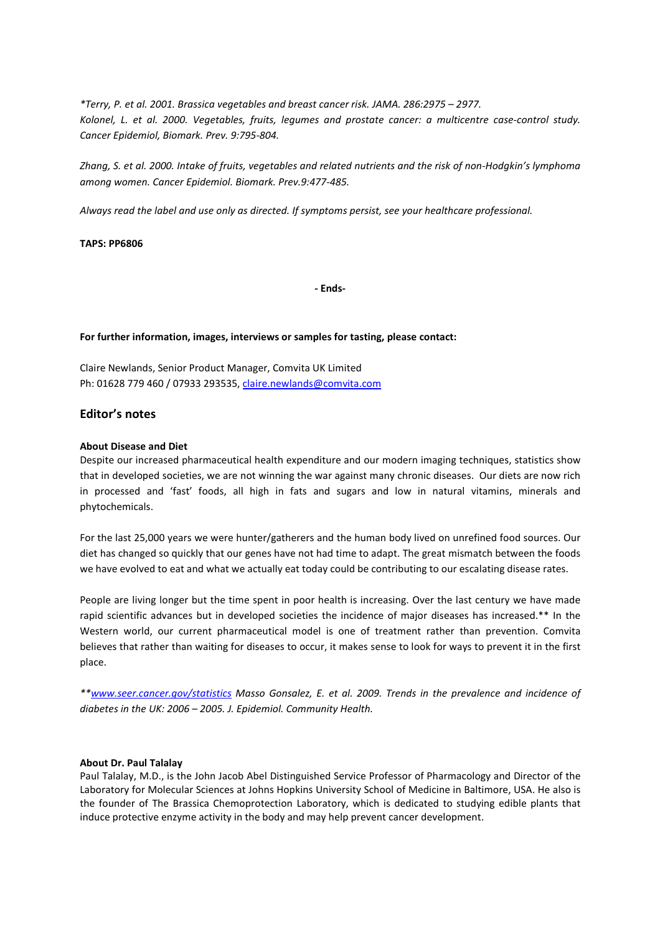\*Terry, P. et al. 2001. Brassica vegetables and breast cancer risk. JAMA. 286:2975 – 2977. Kolonel, L. et al. 2000. Vegetables, fruits, legumes and prostate cancer: a multicentre case-control study. Cancer Epidemiol, Biomark. Prev. 9:795-804.

Zhang, S. et al. 2000. Intake of fruits, vegetables and related nutrients and the risk of non-Hodgkin's lymphoma among women. Cancer Epidemiol. Biomark. Prev.9:477-485.

Always read the label and use only as directed. If symptoms persist, see your healthcare professional.

## TAPS: PP6806

- Ends-

#### For further information, images, interviews or samples for tasting, please contact:

Claire Newlands, Senior Product Manager, Comvita UK Limited Ph: 01628 779 460 / 07933 293535, claire.newlands@comvita.com

## Editor's notes

#### About Disease and Diet

Despite our increased pharmaceutical health expenditure and our modern imaging techniques, statistics show that in developed societies, we are not winning the war against many chronic diseases. Our diets are now rich in processed and 'fast' foods, all high in fats and sugars and low in natural vitamins, minerals and phytochemicals.

For the last 25,000 years we were hunter/gatherers and the human body lived on unrefined food sources. Our diet has changed so quickly that our genes have not had time to adapt. The great mismatch between the foods we have evolved to eat and what we actually eat today could be contributing to our escalating disease rates.

People are living longer but the time spent in poor health is increasing. Over the last century we have made rapid scientific advances but in developed societies the incidence of major diseases has increased.\*\* In the Western world, our current pharmaceutical model is one of treatment rather than prevention. Comvita believes that rather than waiting for diseases to occur, it makes sense to look for ways to prevent it in the first place.

\*\*www.seer.cancer.gov/statistics Masso Gonsalez, E. et al. 2009. Trends in the prevalence and incidence of diabetes in the UK: 2006 – 2005. J. Epidemiol. Community Health.

#### About Dr. Paul Talalay

Paul Talalay, M.D., is the John Jacob Abel Distinguished Service Professor of Pharmacology and Director of the Laboratory for Molecular Sciences at Johns Hopkins University School of Medicine in Baltimore, USA. He also is the founder of The Brassica Chemoprotection Laboratory, which is dedicated to studying edible plants that induce protective enzyme activity in the body and may help prevent cancer development.